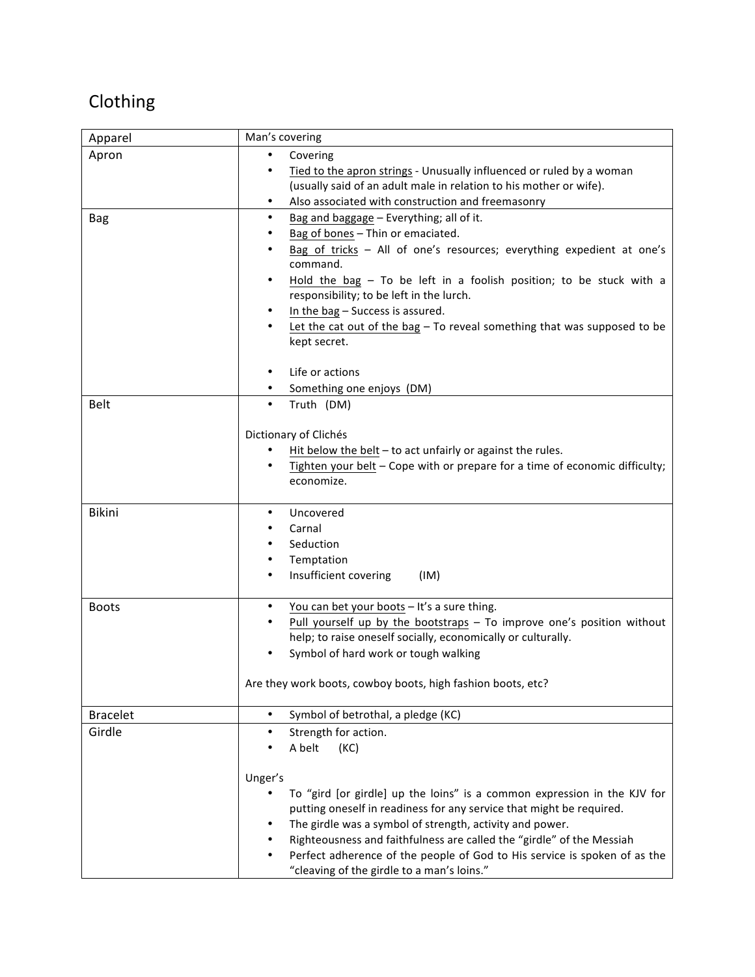## Clothing

| Apparel         | Man's covering                                                                                                          |
|-----------------|-------------------------------------------------------------------------------------------------------------------------|
| Apron           | Covering                                                                                                                |
|                 | Tied to the apron strings - Unusually influenced or ruled by a woman                                                    |
|                 | (usually said of an adult male in relation to his mother or wife).                                                      |
|                 | Also associated with construction and freemasonry                                                                       |
| <b>Bag</b>      | Bag and baggage - Everything; all of it.<br>$\bullet$                                                                   |
|                 | Bag of bones - Thin or emaciated.                                                                                       |
|                 | Bag of tricks - All of one's resources; everything expedient at one's                                                   |
|                 | command.                                                                                                                |
|                 | Hold the bag $-$ To be left in a foolish position; to be stuck with a                                                   |
|                 | responsibility; to be left in the lurch.                                                                                |
|                 | In the bag - Success is assured.                                                                                        |
|                 | Let the cat out of the bag $-$ To reveal something that was supposed to be<br>kept secret.                              |
|                 |                                                                                                                         |
|                 | Life or actions                                                                                                         |
|                 | Something one enjoys (DM)                                                                                               |
| Belt            | Truth (DM)<br>$\bullet$                                                                                                 |
|                 |                                                                                                                         |
|                 | Dictionary of Clichés                                                                                                   |
|                 | Hit below the belt $-$ to act unfairly or against the rules.                                                            |
|                 | Tighten your belt - Cope with or prepare for a time of economic difficulty;                                             |
|                 | economize.                                                                                                              |
|                 |                                                                                                                         |
| Bikini          | Uncovered                                                                                                               |
|                 | Carnal                                                                                                                  |
|                 | Seduction                                                                                                               |
|                 | Temptation                                                                                                              |
|                 | Insufficient covering<br>(IM)                                                                                           |
| <b>Boots</b>    | You can bet your boots - It's a sure thing.<br>$\bullet$                                                                |
|                 | Pull yourself up by the bootstraps - To improve one's position without                                                  |
|                 | help; to raise oneself socially, economically or culturally.                                                            |
|                 | Symbol of hard work or tough walking                                                                                    |
|                 |                                                                                                                         |
|                 | Are they work boots, cowboy boots, high fashion boots, etc?                                                             |
|                 |                                                                                                                         |
| <b>Bracelet</b> | Symbol of betrothal, a pledge (KC)<br>$\bullet$                                                                         |
| Girdle          | Strength for action.<br>$\bullet$                                                                                       |
|                 | A belt<br>(KC)                                                                                                          |
|                 |                                                                                                                         |
|                 | Unger's                                                                                                                 |
|                 | To "gird [or girdle] up the loins" is a common expression in the KJV for                                                |
|                 | putting oneself in readiness for any service that might be required.                                                    |
|                 | The girdle was a symbol of strength, activity and power.                                                                |
|                 | Righteousness and faithfulness are called the "girdle" of the Messiah                                                   |
|                 | Perfect adherence of the people of God to His service is spoken of as the<br>"cleaving of the girdle to a man's loins." |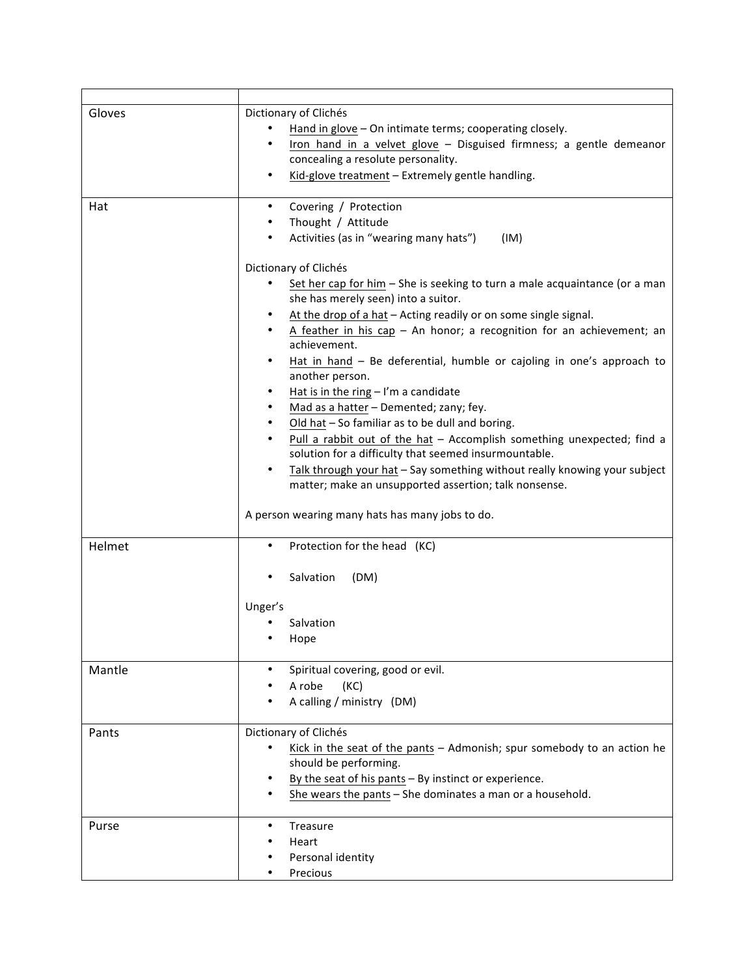| Gloves | Dictionary of Clichés<br>Hand in glove - On intimate terms; cooperating closely.<br>Iron hand in a velvet glove - Disguised firmness; a gentle demeanor<br>concealing a resolute personality.<br>Kid-glove treatment - Extremely gentle handling.                                                                                                                                                                                                                                                                                                                                                                                                                                                                                                                                                                                               |
|--------|-------------------------------------------------------------------------------------------------------------------------------------------------------------------------------------------------------------------------------------------------------------------------------------------------------------------------------------------------------------------------------------------------------------------------------------------------------------------------------------------------------------------------------------------------------------------------------------------------------------------------------------------------------------------------------------------------------------------------------------------------------------------------------------------------------------------------------------------------|
| Hat    | Covering / Protection<br>$\bullet$<br>Thought / Attitude<br>Activities (as in "wearing many hats")<br>(IM)                                                                                                                                                                                                                                                                                                                                                                                                                                                                                                                                                                                                                                                                                                                                      |
|        | Dictionary of Clichés<br>Set her cap for him $-$ She is seeking to turn a male acquaintance (or a man<br>she has merely seen) into a suitor.<br>At the drop of a hat - Acting readily or on some single signal.<br>A feather in his $cap - An$ honor; a recognition for an achievement; an<br>achievement.<br>Hat in hand - Be deferential, humble or cajoling in one's approach to<br>$\bullet$<br>another person.<br>Hat is in the ring $-1'm$ a candidate<br>$\bullet$<br>Mad as a hatter - Demented; zany; fey.<br>Old hat - So familiar as to be dull and boring.<br>Pull a rabbit out of the hat - Accomplish something unexpected; find a<br>solution for a difficulty that seemed insurmountable.<br>Talk through your hat - Say something without really knowing your subject<br>matter; make an unsupported assertion; talk nonsense. |
|        | A person wearing many hats has many jobs to do.                                                                                                                                                                                                                                                                                                                                                                                                                                                                                                                                                                                                                                                                                                                                                                                                 |
| Helmet | Protection for the head (KC)<br>$\bullet$<br>Salvation<br>(DM)                                                                                                                                                                                                                                                                                                                                                                                                                                                                                                                                                                                                                                                                                                                                                                                  |
|        | Unger's<br>Salvation<br>Hope                                                                                                                                                                                                                                                                                                                                                                                                                                                                                                                                                                                                                                                                                                                                                                                                                    |
| Mantle | Spiritual covering, good or evil.<br>A robe<br>(KC)<br>A calling / ministry (DM)                                                                                                                                                                                                                                                                                                                                                                                                                                                                                                                                                                                                                                                                                                                                                                |
| Pants  | Dictionary of Clichés<br>Kick in the seat of the pants - Admonish; spur somebody to an action he<br>should be performing.<br>By the seat of his pants $-$ By instinct or experience.<br>She wears the pants - She dominates a man or a household.                                                                                                                                                                                                                                                                                                                                                                                                                                                                                                                                                                                               |
| Purse  | Treasure<br>Heart<br>Personal identity<br>Precious                                                                                                                                                                                                                                                                                                                                                                                                                                                                                                                                                                                                                                                                                                                                                                                              |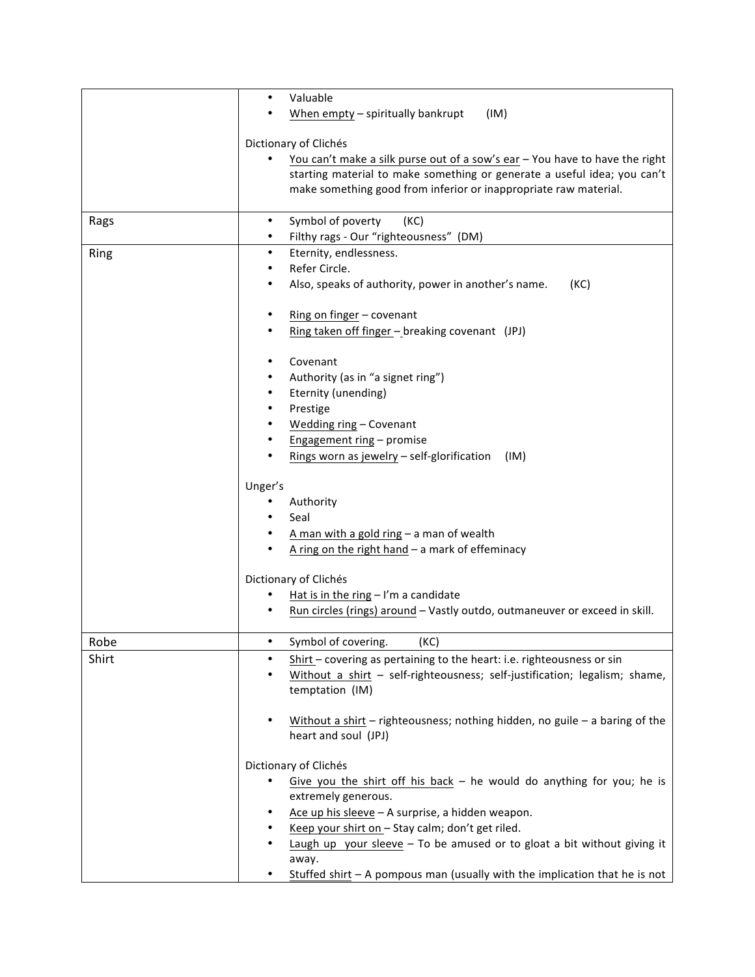|       | Valuable<br>$\bullet$                                                                          |
|-------|------------------------------------------------------------------------------------------------|
|       | When empty - spiritually bankrupt<br>(IM)                                                      |
|       |                                                                                                |
|       | Dictionary of Clichés                                                                          |
|       | You can't make a silk purse out of a sow's ear - You have to have the right                    |
|       | starting material to make something or generate a useful idea; you can't                       |
|       | make something good from inferior or inappropriate raw material.                               |
|       |                                                                                                |
| Rags  | Symbol of poverty<br>(KC)                                                                      |
|       | Filthy rags - Our "righteousness" (DM)                                                         |
| Ring  | Eternity, endlessness.<br>$\bullet$                                                            |
|       | Refer Circle.                                                                                  |
|       | Also, speaks of authority, power in another's name.<br>(KC)                                    |
|       |                                                                                                |
|       | Ring on finger - covenant                                                                      |
|       | Ring taken off finger - breaking covenant (JPJ)                                                |
|       |                                                                                                |
|       | Covenant                                                                                       |
|       | Authority (as in "a signet ring")                                                              |
|       | Eternity (unending)                                                                            |
|       | Prestige                                                                                       |
|       | Wedding ring - Covenant                                                                        |
|       | Engagement ring - promise                                                                      |
|       |                                                                                                |
|       | Rings worn as jewelry - self-glorification<br>(IM)                                             |
|       | Unger's                                                                                        |
|       | Authority                                                                                      |
|       | Seal                                                                                           |
|       |                                                                                                |
|       | A man with a gold ring $-$ a man of wealth                                                     |
|       | A ring on the right hand $-$ a mark of effeminacy                                              |
|       | Dictionary of Clichés                                                                          |
|       | Hat is in the ring $-1'm$ a candidate                                                          |
|       |                                                                                                |
|       | Run circles (rings) around - Vastly outdo, outmaneuver or exceed in skill.                     |
| Robe  | Symbol of covering.<br>(KC)                                                                    |
|       |                                                                                                |
| Shirt | Shirt - covering as pertaining to the heart: i.e. righteousness or sin                         |
|       | Without a shirt - self-righteousness; self-justification; legalism; shame,                     |
|       | temptation (IM)                                                                                |
|       |                                                                                                |
|       | Without a shirt $-$ righteousness; nothing hidden, no guile $-$ a baring of the                |
|       | heart and soul (JPJ)                                                                           |
|       | Dictionary of Clichés                                                                          |
|       |                                                                                                |
|       | Give you the shirt off his back $-$ he would do anything for you; he is<br>extremely generous. |
|       |                                                                                                |
|       | Ace up his sleeve - A surprise, a hidden weapon.                                               |
|       | Keep your shirt on - Stay calm; don't get riled.                                               |
|       | Laugh up your sleeve $-$ To be amused or to gloat a bit without giving it                      |
|       | away.                                                                                          |
|       | Stuffed shirt $-$ A pompous man (usually with the implication that he is not                   |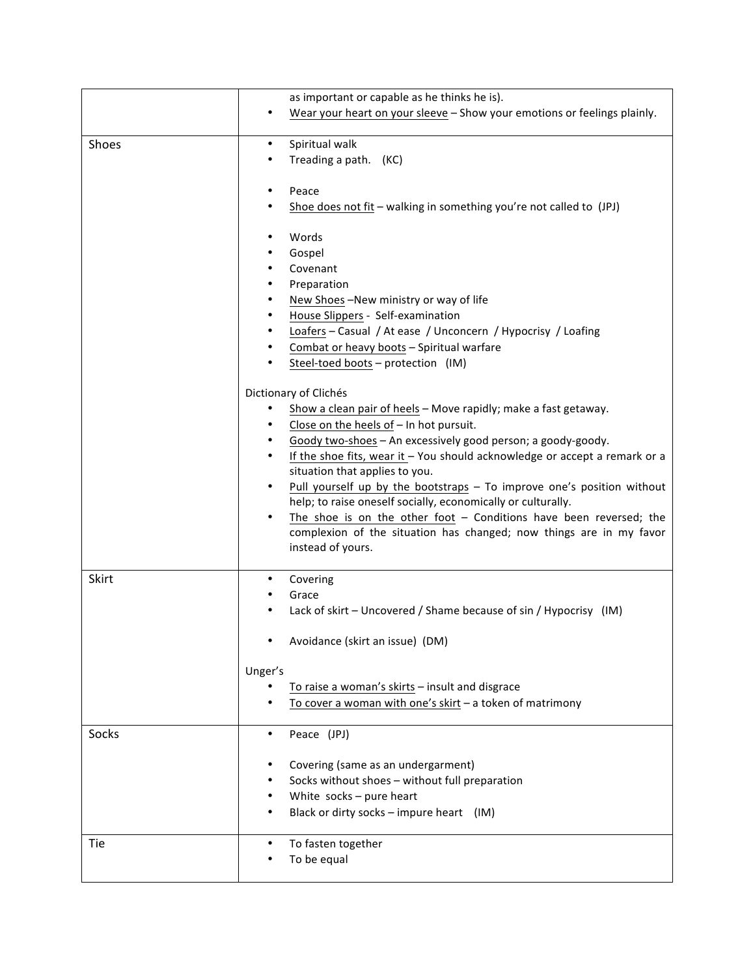|       | as important or capable as he thinks he is).                                 |
|-------|------------------------------------------------------------------------------|
|       | Wear your heart on your sleeve - Show your emotions or feelings plainly.     |
|       |                                                                              |
| Shoes | Spiritual walk<br>$\bullet$                                                  |
|       | Treading a path. (KC)                                                        |
|       |                                                                              |
|       | Peace                                                                        |
|       | Shoe does not fit $-$ walking in something you're not called to (JPJ)        |
|       |                                                                              |
|       | Words                                                                        |
|       | Gospel<br>Covenant                                                           |
|       | Preparation                                                                  |
|       | New Shoes-New ministry or way of life                                        |
|       | House Slippers - Self-examination                                            |
|       | Loafers - Casual / At ease / Unconcern / Hypocrisy / Loafing                 |
|       | Combat or heavy boots - Spiritual warfare                                    |
|       | Steel-toed boots - protection (IM)                                           |
|       |                                                                              |
|       | Dictionary of Clichés                                                        |
|       | Show a clean pair of heels - Move rapidly; make a fast getaway.              |
|       | Close on the heels of - In hot pursuit.<br>$\bullet$                         |
|       | Goody two-shoes - An excessively good person; a goody-goody.                 |
|       | If the shoe fits, wear it $-$ You should acknowledge or accept a remark or a |
|       | situation that applies to you.                                               |
|       | Pull yourself up by the bootstraps - To improve one's position without       |
|       | help; to raise oneself socially, economically or culturally.                 |
|       | The shoe is on the other foot $-$ Conditions have been reversed; the         |
|       | complexion of the situation has changed; now things are in my favor          |
|       | instead of yours.                                                            |
| Skirt | Covering<br>٠                                                                |
|       | Grace                                                                        |
|       | Lack of skirt – Uncovered / Shame because of sin / Hypocrisy (IM)            |
|       |                                                                              |
|       | Avoidance (skirt an issue) (DM)                                              |
|       |                                                                              |
|       | Unger's                                                                      |
|       | To raise a woman's skirts - insult and disgrace                              |
|       | To cover a woman with one's skirt - a token of matrimony                     |
|       |                                                                              |
| Socks | Peace (JPJ)<br>٠                                                             |
|       |                                                                              |
|       | Covering (same as an undergarment)                                           |
|       | Socks without shoes - without full preparation                               |
|       | White socks - pure heart<br>Black or dirty socks - impure heart (IM)         |
|       |                                                                              |
| Tie   | To fasten together                                                           |
|       | To be equal                                                                  |
|       |                                                                              |